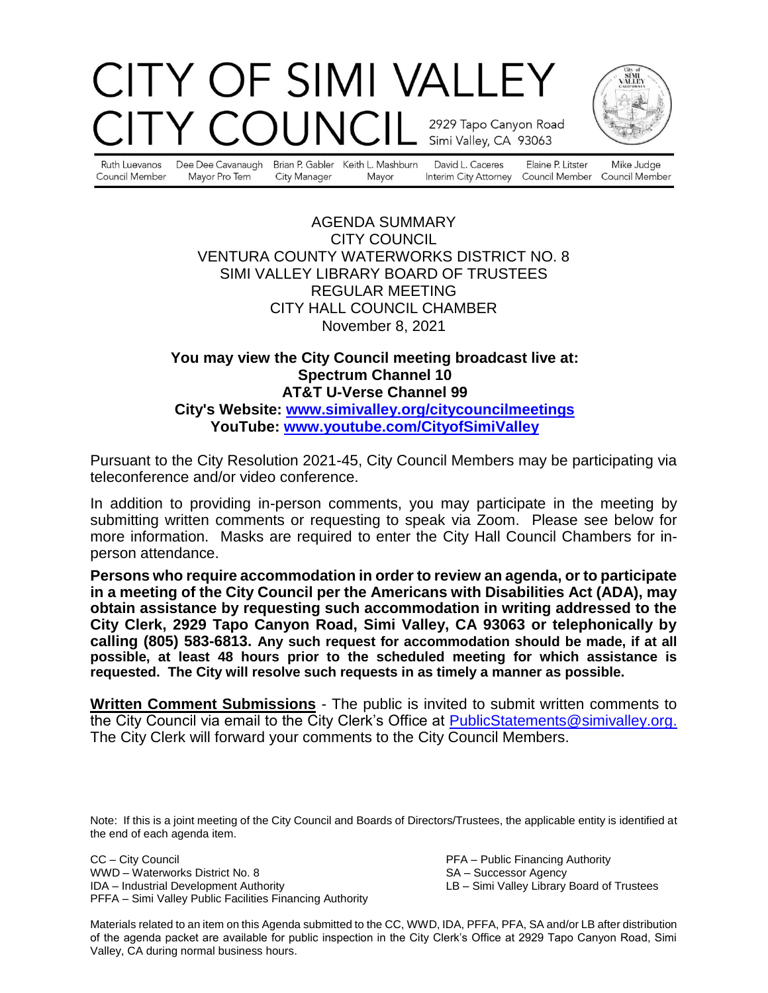# CITY OF SIMI VALLEY OUNC 2929 Tapo Canyon Road Simi Valley, CA 93063



Ruth Luevanos Council Member

Dee Dee Cavanaugh Mayor Pro Tem City Manager

Brian P. Gabler Keith L. Mashburn Mayor

David L. Caceres

Elaine P. Litster Interim City Attorney Council Member Council Member

Mike Judge

#### AGENDA SUMMARY CITY COUNCIL VENTURA COUNTY WATERWORKS DISTRICT NO. 8 SIMI VALLEY LIBRARY BOARD OF TRUSTEES REGULAR MEETING CITY HALL COUNCIL CHAMBER November 8, 2021

### **You may view the City Council meeting broadcast live at: Spectrum Channel 10 AT&T U-Verse Channel 99 City's Website: [www.simivalley.org/citycouncilmeetings](http://www.simivalley.org/citycouncilmeetings)**

**YouTube: [www.youtube.com/CityofSimiValley](http://www.youtube.com/CityofSimiValley)**

Pursuant to the City Resolution 2021-45, City Council Members may be participating via teleconference and/or video conference.

In addition to providing in-person comments, you may participate in the meeting by submitting written comments or requesting to speak via Zoom. Please see below for more information. Masks are required to enter the City Hall Council Chambers for inperson attendance.

**Persons who require accommodation in order to review an agenda, or to participate in a meeting of the City Council per the Americans with Disabilities Act (ADA), may obtain assistance by requesting such accommodation in writing addressed to the City Clerk, 2929 Tapo Canyon Road, Simi Valley, CA 93063 or telephonically by calling (805) 583-6813. Any such request for accommodation should be made, if at all possible, at least 48 hours prior to the scheduled meeting for which assistance is requested. The City will resolve such requests in as timely a manner as possible.**

**Written Comment Submissions** - The public is invited to submit written comments to the City Council via email to the City Clerk's Office at [PublicStatements@simivalley.org.](mailto:PublicStatements@simivalley.org) The City Clerk will forward your comments to the City Council Members.

Note: If this is a joint meeting of the City Council and Boards of Directors/Trustees, the applicable entity is identified at the end of each agenda item.

CC – City Council PFA – Public Financing Authority WWD – Waterworks District No. 8 SA – Successor Agency IDA – Industrial Development Authority LB – Simi Valley Library Board of Trustees PFFA – Simi Valley Public Facilities Financing Authority

Materials related to an item on this Agenda submitted to the CC, WWD, IDA, PFFA, PFA, SA and/or LB after distribution of the agenda packet are available for public inspection in the City Clerk's Office at 2929 Tapo Canyon Road, Simi Valley, CA during normal business hours.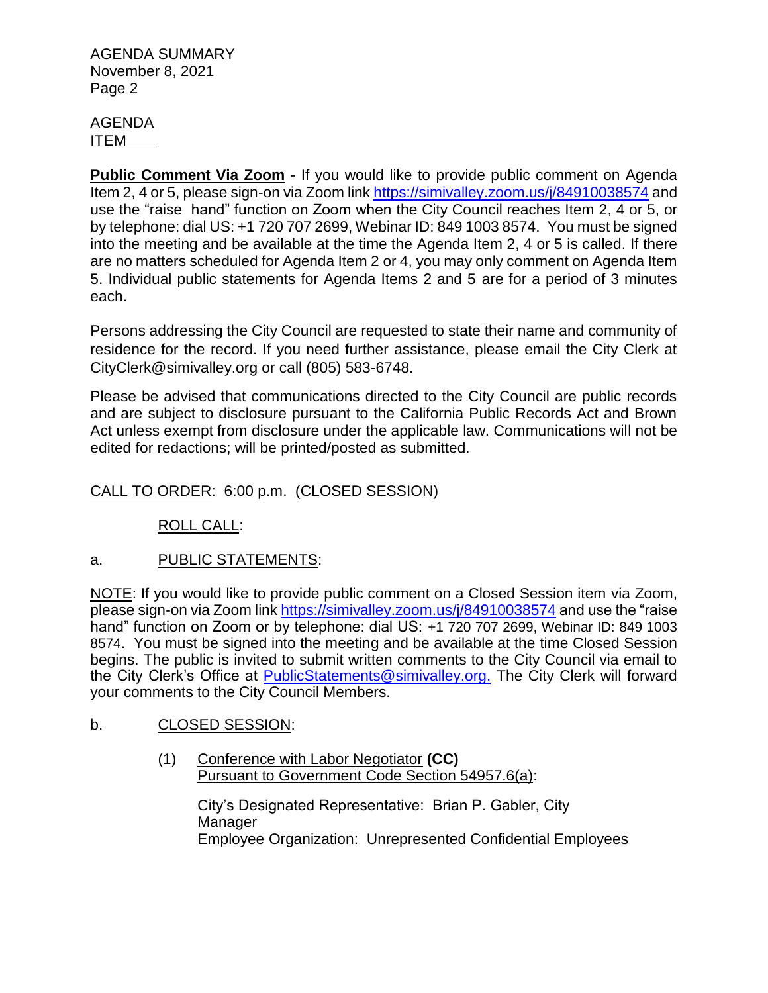#### AGENDA ITEM

**Public Comment Via Zoom** - If you would like to provide public comment on Agenda Item 2, 4 or 5, please sign-on via Zoom link <https://simivalley.zoom.us/j/84910038574> and use the "raise hand" function on Zoom when the City Council reaches Item 2, 4 or 5, or by telephone: dial US: +1 720 707 2699, Webinar ID: 849 1003 8574. You must be signed into the meeting and be available at the time the Agenda Item 2, 4 or 5 is called. If there are no matters scheduled for Agenda Item 2 or 4, you may only comment on Agenda Item 5. Individual public statements for Agenda Items 2 and 5 are for a period of 3 minutes each.

Persons addressing the City Council are requested to state their name and community of residence for the record. If you need further assistance, please email the City Clerk at CityClerk@simivalley.org or call (805) 583-6748.

Please be advised that communications directed to the City Council are public records and are subject to disclosure pursuant to the California Public Records Act and Brown Act unless exempt from disclosure under the applicable law. Communications will not be edited for redactions; will be printed/posted as submitted.

CALL TO ORDER: 6:00 p.m. (CLOSED SESSION)

ROLL CALL:

### a. PUBLIC STATEMENTS:

NOTE: If you would like to provide public comment on a Closed Session item via Zoom, please sign-on via Zoom link <https://simivalley.zoom.us/j/84910038574> and use the "raise hand" function on Zoom or by telephone: dial US: +1 720 707 2699, Webinar ID: 849 1003 8574. You must be signed into the meeting and be available at the time Closed Session begins. The public is invited to submit written comments to the City Council via email to the City Clerk's Office at [PublicStatements@simivalley.org.](mailto:PublicStatements@simivalley.org) The City Clerk will forward your comments to the City Council Members.

### b. CLOSED SESSION:

(1) Conference with Labor Negotiator **(CC)** Pursuant to Government Code Section 54957.6(a):

> City's Designated Representative: Brian P. Gabler, City **Manager** Employee Organization: Unrepresented Confidential Employees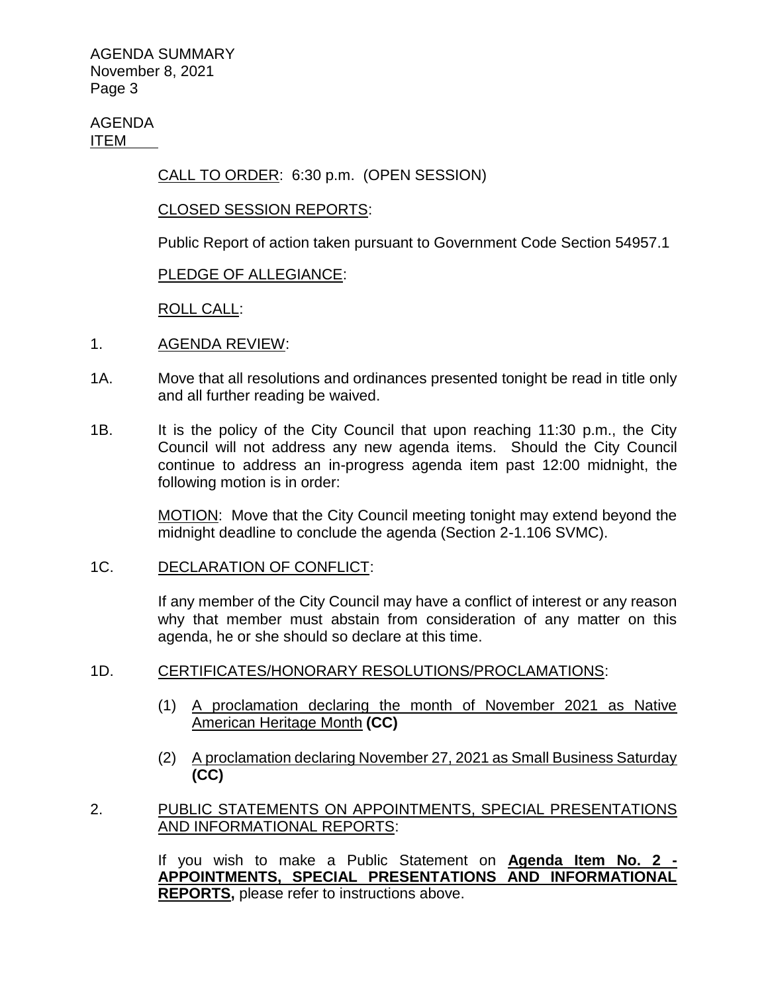AGENDA ITEM

CALL TO ORDER: 6:30 p.m. (OPEN SESSION)

#### CLOSED SESSION REPORTS:

Public Report of action taken pursuant to Government Code Section 54957.1

#### PLEDGE OF ALLEGIANCE:

ROLL CALL:

- 1. AGENDA REVIEW:
- 1A. Move that all resolutions and ordinances presented tonight be read in title only and all further reading be waived.
- 1B. It is the policy of the City Council that upon reaching 11:30 p.m., the City Council will not address any new agenda items. Should the City Council continue to address an in-progress agenda item past 12:00 midnight, the following motion is in order:

MOTION: Move that the City Council meeting tonight may extend beyond the midnight deadline to conclude the agenda (Section 2-1.106 SVMC).

#### 1C. DECLARATION OF CONFLICT:

If any member of the City Council may have a conflict of interest or any reason why that member must abstain from consideration of any matter on this agenda, he or she should so declare at this time.

#### 1D. CERTIFICATES/HONORARY RESOLUTIONS/PROCLAMATIONS:

- (1) A proclamation declaring the month of November 2021 as Native American Heritage Month **(CC)**
- (2) A proclamation declaring November 27, 2021 as Small Business Saturday **(CC)**

#### 2. PUBLIC STATEMENTS ON APPOINTMENTS, SPECIAL PRESENTATIONS AND INFORMATIONAL REPORTS:

If you wish to make a Public Statement on **Agenda Item No. 2 - APPOINTMENTS, SPECIAL PRESENTATIONS AND INFORMATIONAL REPORTS,** please refer to instructions above.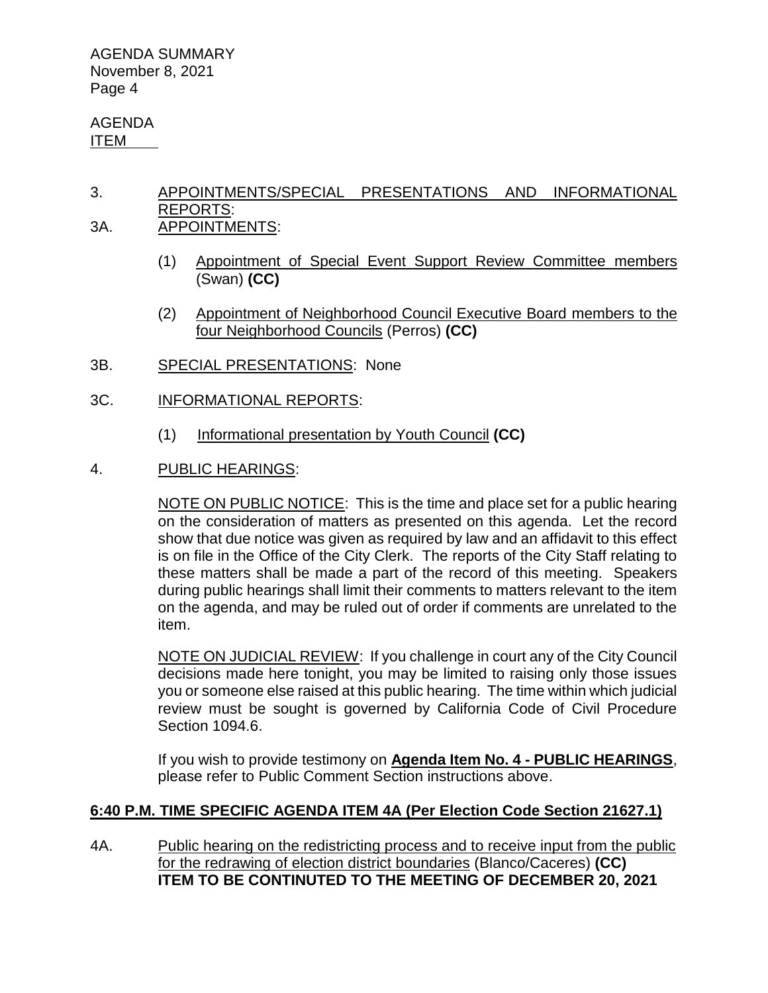AGENDA ITEM

## 3. APPOINTMENTS/SPECIAL PRESENTATIONS AND INFORMATIONAL REPORTS:

- 3A. APPOINTMENTS:
	- (1) Appointment of Special Event Support Review Committee members (Swan) **(CC)**
	- (2) Appointment of Neighborhood Council Executive Board members to the four Neighborhood Councils (Perros) **(CC)**
- 3B. SPECIAL PRESENTATIONS: None
- 3C. INFORMATIONAL REPORTS:
	- (1) Informational presentation by Youth Council **(CC)**
- 4. PUBLIC HEARINGS:

NOTE ON PUBLIC NOTICE: This is the time and place set for a public hearing on the consideration of matters as presented on this agenda. Let the record show that due notice was given as required by law and an affidavit to this effect is on file in the Office of the City Clerk. The reports of the City Staff relating to these matters shall be made a part of the record of this meeting. Speakers during public hearings shall limit their comments to matters relevant to the item on the agenda, and may be ruled out of order if comments are unrelated to the item.

NOTE ON JUDICIAL REVIEW: If you challenge in court any of the City Council decisions made here tonight, you may be limited to raising only those issues you or someone else raised at this public hearing. The time within which judicial review must be sought is governed by California Code of Civil Procedure Section 1094.6.

If you wish to provide testimony on **Agenda Item No. 4 - PUBLIC HEARINGS**, please refer to Public Comment Section instructions above.

### **6:40 P.M. TIME SPECIFIC AGENDA ITEM 4A (Per Election Code Section 21627.1)**

4A. Public hearing on the redistricting process and to receive input from the public for the redrawing of election district boundaries (Blanco/Caceres) **(CC) ITEM TO BE CONTINUTED TO THE MEETING OF DECEMBER 20, 2021**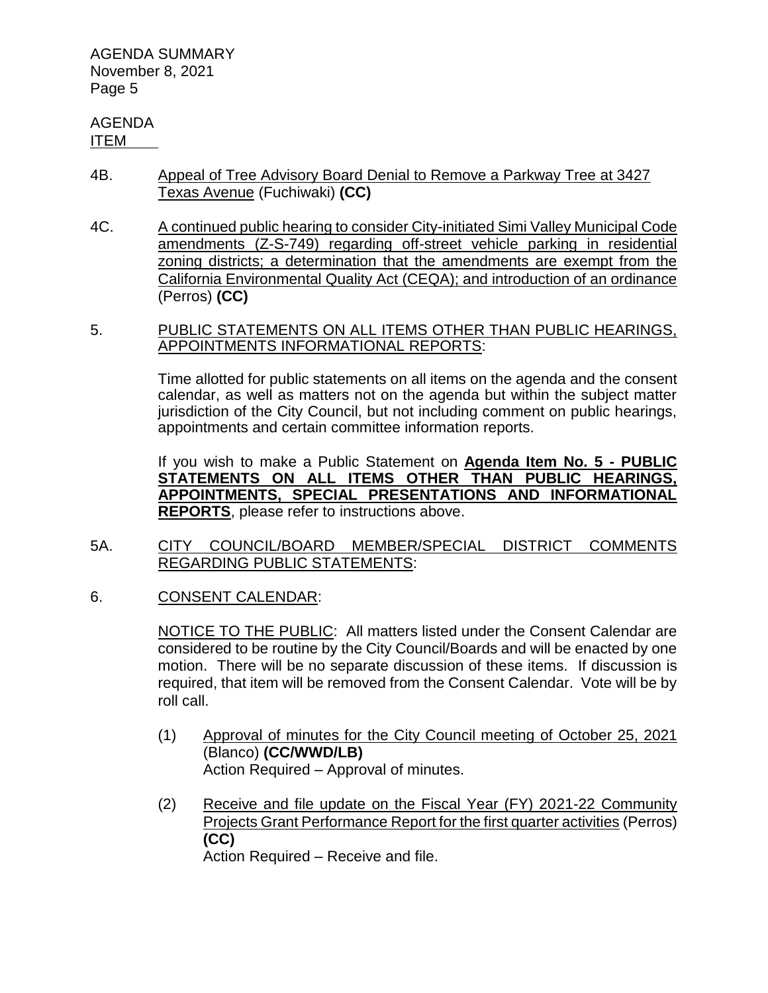#### AGENDA ITEM

- 4B. Appeal of Tree Advisory Board Denial to Remove a Parkway Tree at 3427 Texas Avenue (Fuchiwaki) **(CC)**
- 4C. A continued public hearing to consider City-initiated Simi Valley Municipal Code amendments (Z-S-749) regarding off-street vehicle parking in residential zoning districts; a determination that the amendments are exempt from the California Environmental Quality Act (CEQA); and introduction of an ordinance (Perros) **(CC)**
- 5. PUBLIC STATEMENTS ON ALL ITEMS OTHER THAN PUBLIC HEARINGS, APPOINTMENTS INFORMATIONAL REPORTS:

Time allotted for public statements on all items on the agenda and the consent calendar, as well as matters not on the agenda but within the subject matter jurisdiction of the City Council, but not including comment on public hearings, appointments and certain committee information reports.

If you wish to make a Public Statement on **Agenda Item No. 5 - PUBLIC STATEMENTS ON ALL ITEMS OTHER THAN PUBLIC HEARINGS, APPOINTMENTS, SPECIAL PRESENTATIONS AND INFORMATIONAL REPORTS**, please refer to instructions above.

- 5A. CITY COUNCIL/BOARD MEMBER/SPECIAL DISTRICT COMMENTS REGARDING PUBLIC STATEMENTS:
- 6. CONSENT CALENDAR:

NOTICE TO THE PUBLIC: All matters listed under the Consent Calendar are considered to be routine by the City Council/Boards and will be enacted by one motion. There will be no separate discussion of these items. If discussion is required, that item will be removed from the Consent Calendar. Vote will be by roll call.

- (1) Approval of minutes for the City Council meeting of October 25, 2021 (Blanco) **(CC/WWD/LB)** Action Required – Approval of minutes.
- (2) Receive and file update on the Fiscal Year (FY) 2021-22 Community Projects Grant Performance Report for the first quarter activities (Perros) **(CC)** Action Required – Receive and file.